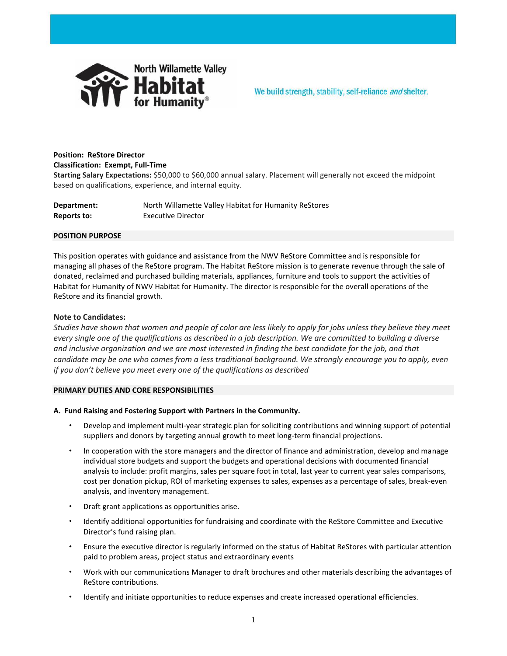

# **Position: ReStore Director Classification: Exempt, Full-Time**

**Starting Salary Expectations:** \$50,000 to \$60,000 annual salary. Placement will generally not exceed the midpoint based on qualifications, experience, and internal equity.

| Department: | North Willamette Valley Habitat for Humanity ReStores |
|-------------|-------------------------------------------------------|
| Reports to: | Executive Director                                    |

### **POSITION PURPOSE**

This position operates with guidance and assistance from the NWV ReStore Committee and is responsible for managing all phases of the ReStore program. The Habitat ReStore mission is to generate revenue through the sale of donated, reclaimed and purchased building materials, appliances, furniture and tools to support the activities of Habitat for Humanity of NWV Habitat for Humanity. The director is responsible for the overall operations of the ReStore and its financial growth.

## **Note to Candidates:**

*Studies have shown that women and people of color are less likely to apply for jobs unless they believe they meet every single one of the qualifications as described in a job description. We are committed to building a diverse and inclusive organization and we are most interested in finding the best candidate for the job, and that candidate may be one who comes from a less traditional background. We strongly encourage you to apply, even if you don't believe you meet every one of the qualifications as described*

### **PRIMARY DUTIES AND CORE RESPONSIBILITIES**

# **A. Fund Raising and Fostering Support with Partners in the Community.**

- Develop and implement multi-year strategic plan for soliciting contributions and winning support of potential suppliers and donors by targeting annual growth to meet long-term financial projections.
- In cooperation with the store managers and the director of finance and administration, develop and manage individual store budgets and support the budgets and operational decisions with documented financial analysis to include: profit margins, sales per square foot in total, last year to current year sales comparisons, cost per donation pickup, ROI of marketing expenses to sales, expenses as a percentage of sales, break-even analysis, and inventory management.
- Draft grant applications as opportunities arise.
- Identify additional opportunities for fundraising and coordinate with the ReStore Committee and Executive Director's fund raising plan.
- Ensure the executive director is regularly informed on the status of Habitat ReStores with particular attention paid to problem areas, project status and extraordinary events
- Work with our communications Manager to draft brochures and other materials describing the advantages of ReStore contributions.
- Identify and initiate opportunities to reduce expenses and create increased operational efficiencies.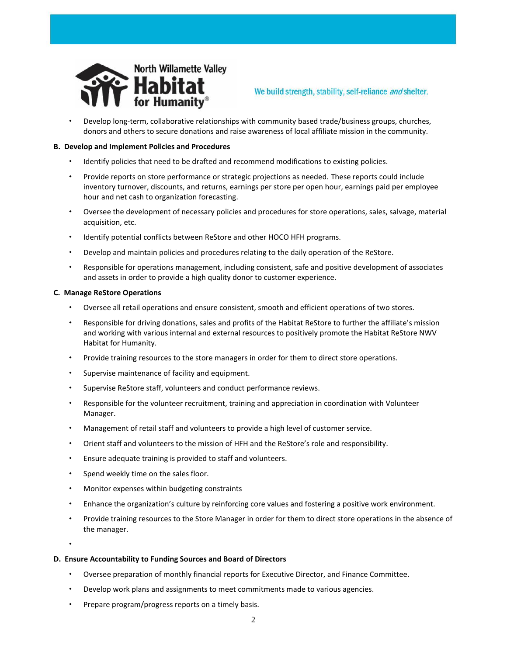

Develop long-term, collaborative relationships with community based trade/business groups, churches,

We build strength, stability, self-reliance and shelter.

donors and others to secure donations and raise awareness of local affiliate mission in the community.

## **B. Develop and Implement Policies and Procedures**

- Identify policies that need to be drafted and recommend modifications to existing policies.
- Provide reports on store performance or strategic projections as needed. These reports could include inventory turnover, discounts, and returns, earnings per store per open hour, earnings paid per employee hour and net cash to organization forecasting.
- Oversee the development of necessary policies and procedures for store operations, sales, salvage, material acquisition, etc.
- Identify potential conflicts between ReStore and other HOCO HFH programs.
- Develop and maintain policies and procedures relating to the daily operation of the ReStore.
- Responsible for operations management, including consistent, safe and positive development of associates and assets in order to provide a high quality donor to customer experience.

### **C. Manage ReStore Operations**

- Oversee all retail operations and ensure consistent, smooth and efficient operations of two stores.
- Responsible for driving donations, sales and profits of the Habitat ReStore to further the affiliate's mission and working with various internal and external resources to positively promote the Habitat ReStore NWV Habitat for Humanity.
- Provide training resources to the store managers in order for them to direct store operations.
- Supervise maintenance of facility and equipment.
- Supervise ReStore staff, volunteers and conduct performance reviews.
- Responsible for the volunteer recruitment, training and appreciation in coordination with Volunteer Manager.
- Management of retail staff and volunteers to provide a high level of customer service.
- Orient staff and volunteers to the mission of HFH and the ReStore's role and responsibility.
- Ensure adequate training is provided to staff and volunteers.
- Spend weekly time on the sales floor.
- Monitor expenses within budgeting constraints
- Enhance the organization's culture by reinforcing core values and fostering a positive work environment.
- Provide training resources to the Store Manager in order for them to direct store operations in the absence of the manager.

 $\mathbf{A}$ 

### **D. Ensure Accountability to Funding Sources and Board of Directors**

- Oversee preparation of monthly financial reports for Executive Director, and Finance Committee.
- Develop work plans and assignments to meet commitments made to various agencies.
- Prepare program/progress reports on a timely basis.